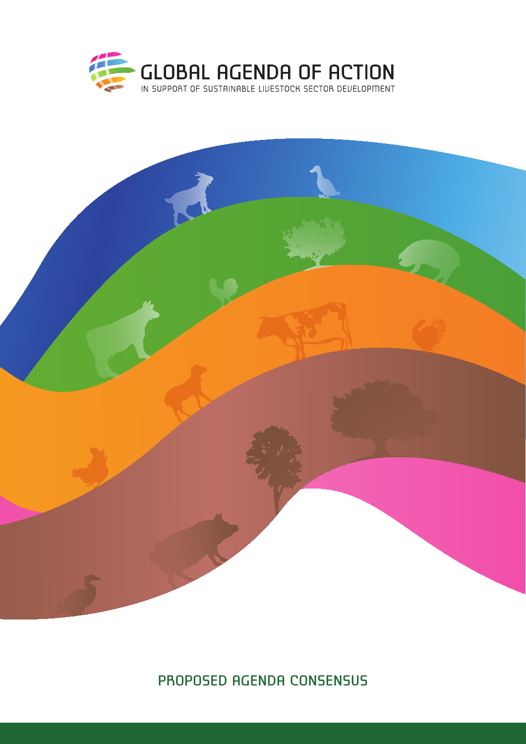



proposed agenda consensus